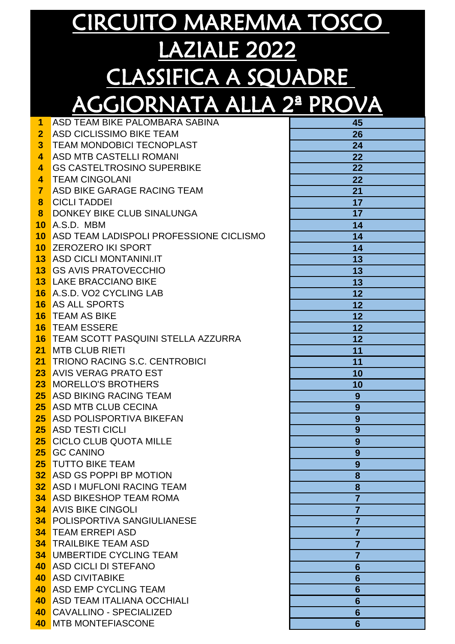| 1                       | ASD TEAM BIKE PALOMBARA SABINA               | 45              |
|-------------------------|----------------------------------------------|-----------------|
| $\overline{2}$          | ASD CICLISSIMO BIKE TEAM                     | 26              |
| 3 <sup>1</sup>          | <b>TEAM MONDOBICI TECNOPLAST</b>             | 24              |
| 4                       | <b>ASD MTB CASTELLI ROMANI</b>               | 22              |
| $\overline{\mathbf{4}}$ | <b>GS CASTELTROSINO SUPERBIKE</b>            | 22              |
| 4                       | <b>TEAM CINGOLANI</b>                        | 22              |
| $\overline{7}$          | ASD BIKE GARAGE RACING TEAM                  | 21              |
| 8                       | <b>CICLI TADDEI</b>                          | 17              |
| 8                       | DONKEY BIKE CLUB SINALUNGA                   | 17              |
| 10                      | A.S.D. MBM                                   | 14              |
| 10                      | ASD TEAM LADISPOLI PROFESSIONE CICLISMO      | 14              |
| 10 <sup>°</sup>         | <b>ZEROZERO IKI SPORT</b>                    | 14              |
|                         | <b>13</b> ASD CICLI MONTANINI.IT             | 13              |
|                         | <b>13 GS AVIS PRATOVECCHIO</b>               | 13              |
|                         | <b>13 LAKE BRACCIANO BIKE</b>                | 13              |
|                         | 16 A.S.D. VO2 CYCLING LAB                    | 12              |
|                         | <b>16 AS ALL SPORTS</b>                      | 12              |
|                         | <b>16 TEAM AS BIKE</b>                       | 12              |
|                         | <b>16 TEAM ESSERE</b>                        | 12              |
|                         | <b>16 TEAM SCOTT PASQUINI STELLA AZZURRA</b> | 12              |
| 21                      | <b>MTB CLUB RIETI</b>                        | 11              |
| 21                      | <b>TRIONO RACING S.C. CENTROBICI</b>         | 11              |
|                         | 23 AVIS VERAG PRATO EST                      | 10              |
|                         | 23 MORELLO'S BROTHERS                        | 10              |
| 25 <sub>2</sub>         | <b>ASD BIKING RACING TEAM</b>                | 9               |
|                         | <b>25</b> ASD MTB CLUB CECINA                | 9               |
|                         | <b>25</b> ASD POLISPORTIVA BIKEFAN           | 9               |
|                         | <b>25 ASD TESTI CICLI</b>                    | 9               |
|                         | <b>25 CICLO CLUB QUOTA MILLE</b>             | 9               |
|                         | 25 GC CANINO                                 | 9               |
|                         | <b>25 TUTTO BIKE TEAM</b>                    | 9               |
|                         | 32 ASD GS POPPI BP MOTION                    | 8               |
|                         | <b>32 ASD I MUFLONI RACING TEAM</b>          | 8               |
|                         | <b>34</b> ASD BIKESHOP TEAM ROMA             | $\overline{7}$  |
|                         | <b>34 AVIS BIKE CINGOLI</b>                  | $\overline{7}$  |
|                         | <b>34 POLISPORTIVA SANGIULIANESE</b>         | $\overline{7}$  |
|                         | <b>34 TEAM ERREPI ASD</b>                    | $\overline{7}$  |
|                         | <b>34 TRAILBIKE TEAM ASD</b>                 | $\overline{7}$  |
|                         | <b>34 UMBERTIDE CYCLING TEAM</b>             | $\overline{7}$  |
|                         | 40 ASD CICLI DI STEFANO                      | $6\phantom{1}6$ |
|                         | <b>40 ASD CIVITABIKE</b>                     | 6               |
|                         | <b>40 ASD EMP CYCLING TEAM</b>               | $6\phantom{1}6$ |
|                         | <b>40 ASD TEAM ITALIANA OCCHIALI</b>         | $6\phantom{1}6$ |
|                         | 40 CAVALLINO - SPECIALIZED                   | 6               |
|                         | 40 MTB MONTEFIASCONE                         | $6\phantom{1}6$ |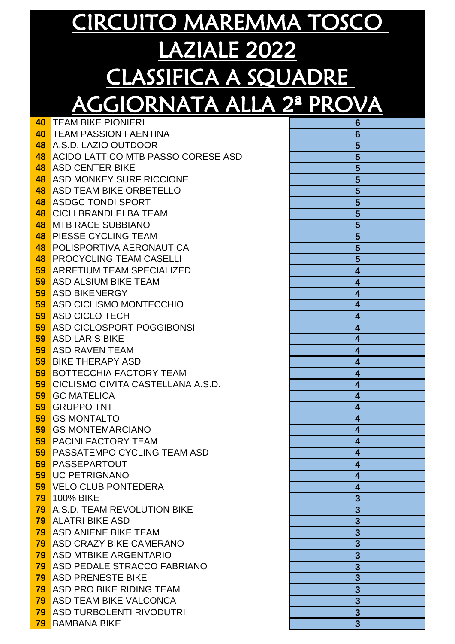|    | U<br><u>iconomi</u><br><b>TO 200</b>        |                                                                       |
|----|---------------------------------------------|-----------------------------------------------------------------------|
| 40 | <b>TEAM BIKE PIONIERI</b>                   | 6                                                                     |
|    | <b>40 TEAM PASSION FAENTINA</b>             | $6\phantom{1}6$                                                       |
|    | 48 A.S.D. LAZIO OUTDOOR                     | 5                                                                     |
|    | 48 ACIDO LATTICO MTB PASSO CORESE ASD       | <u>5</u>                                                              |
|    | <b>48 ASD CENTER BIKE</b>                   | 5                                                                     |
|    | <b>48</b> ASD MONKEY SURF RICCIONE          | 5                                                                     |
|    | <b>48 ASD TEAM BIKE ORBETELLO</b>           | 5                                                                     |
|    | <b>48 ASDGC TONDI SPORT</b>                 | $\overline{\mathbf{5}}$                                               |
|    | <b>48 CICLI BRANDI ELBA TEAM</b>            | $\overline{\mathbf{5}}$                                               |
|    | <b>48 MTB RACE SUBBIANO</b>                 | 5                                                                     |
|    | <b>48 PIESSE CYCLING TEAM</b>               | 5                                                                     |
|    | <b>48 POLISPORTIVA AERONAUTICA</b>          | 5                                                                     |
|    | <b>48 PROCYCLING TEAM CASELLI</b>           | 5                                                                     |
|    | <b>59 ARRETIUM TEAM SPECIALIZED</b>         | 4                                                                     |
|    | <b>59</b> ASD ALSIUM BIKE TEAM              | 4                                                                     |
|    | <b>59 ASD BIKENERGY</b>                     | 4                                                                     |
|    | <b>59 ASD CICLISMO MONTECCHIO</b>           | 4                                                                     |
|    | <b>59</b> ASD CICLO TECH                    | 4                                                                     |
|    | <b>59 ASD CICLOSPORT POGGIBONSI</b>         | 4                                                                     |
|    | <b>59 ASD LARIS BIKE</b>                    | 4                                                                     |
|    | <b>59 ASD RAVEN TEAM</b>                    | 4                                                                     |
|    | <b>59 BIKE THERAPY ASD</b>                  | 4                                                                     |
|    | <b>59 BOTTECCHIA FACTORY TEAM</b>           | 4                                                                     |
|    | <b>59 CICLISMO CIVITA CASTELLANA A.S.D.</b> | 4                                                                     |
| 59 | <b>59 GC MATELICA</b><br><b>GRUPPO TNT</b>  | 4                                                                     |
|    | <b>59 GS MONTALTO</b>                       | 4<br>4                                                                |
|    | <b>59 GS MONTEMARCIANO</b>                  | 4                                                                     |
|    | <b>59 PACINI FACTORY TEAM</b>               | 4                                                                     |
|    | <b>59 PASSATEMPO CYCLING TEAM ASD</b>       |                                                                       |
|    | <b>59 PASSEPARTOUT</b>                      | 4                                                                     |
|    | <b>59 UC PETRIGNANO</b>                     | 4                                                                     |
|    | <b>59 VELO CLUB PONTEDERA</b>               | 4                                                                     |
|    | <b>79</b> 100% BIKE                         | $\overline{\mathbf{3}}$                                               |
|    | <b>79</b> A.S.D. TEAM REVOLUTION BIKE       | $\overline{3}$                                                        |
|    | <b>79 ALATRI BIKE ASD</b>                   | $\overline{3}$                                                        |
|    | <b>79</b> ASD ANIENE BIKE TEAM              |                                                                       |
|    | <b>79</b> ASD CRAZY BIKE CAMERANO           |                                                                       |
|    | <b>79</b> ASD MTBIKE ARGENTARIO             |                                                                       |
|    | <b>79 ASD PEDALE STRACCO FABRIANO</b>       |                                                                       |
|    | <b>79</b> ASD PRENESTE BIKE                 |                                                                       |
|    | <b>79</b> ASD PRO BIKE RIDING TEAM          |                                                                       |
|    | <b>79</b> ASD TEAM BIKE VALCONCA            | $\frac{3}{3}$ $\frac{3}{3}$ $\frac{3}{3}$ $\frac{3}{3}$ $\frac{3}{3}$ |
|    | <b>79 ASD TURBOLENTI RIVODUTRI</b>          |                                                                       |
|    | <b>79 BAMBANA BIKE</b>                      | $\overline{\mathbf{3}}$                                               |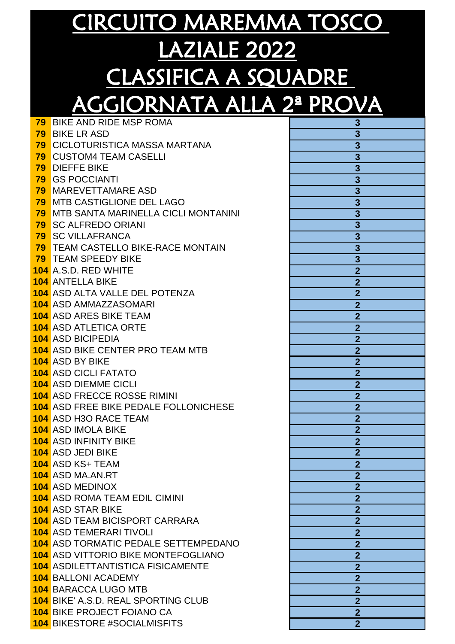| 79 | <b>BIKE AND RIDE MSP ROMA</b>                             | 3                                |
|----|-----------------------------------------------------------|----------------------------------|
|    | <b>79 BIKE LR ASD</b>                                     |                                  |
|    | <b>79 CICLOTURISTICA MASSA MARTANA</b>                    |                                  |
|    | <b>79 CUSTOM4 TEAM CASELLI</b>                            | $\frac{3}{3}$                    |
| 79 | <b>DIEFFE BIKE</b>                                        |                                  |
|    | <b>79 GS POCCIANTI</b>                                    | $\overline{\overline{3}}$        |
|    | <b>79 MAREVETTAMARE ASD</b>                               | $\overline{3}$                   |
|    | 79 MTB CASTIGLIONE DEL LAGO                               | $\overline{3}$                   |
|    | <b>79 MTB SANTA MARINELLA CICLI MONTANINI</b>             | $\overline{3}$                   |
|    | <b>79 SC ALFREDO ORIANI</b>                               | $\overline{3}$                   |
|    | <b>79 SC VILLAFRANCA</b>                                  | $\overline{\mathbf{3}}$          |
|    | <b>79 TEAM CASTELLO BIKE-RACE MONTAIN</b>                 | $\overline{\mathbf{3}}$          |
|    | <b>79 TEAM SPEEDY BIKE</b>                                | $\overline{\mathbf{3}}$          |
|    | <b>104</b> A.S.D. RED WHITE                               | $\overline{2}$                   |
|    | <b>104 ANTELLA BIKE</b>                                   | $\overline{2}$                   |
|    | <b>104</b> ASD ALTA VALLE DEL POTENZA                     | $\overline{2}$                   |
|    | <b>104</b> ASD AMMAZZASOMARI                              | $\overline{2}$                   |
|    | <b>104 ASD ARES BIKE TEAM</b>                             | $\overline{2}$                   |
|    | <b>104</b> ASD ATLETICA ORTE                              | $\overline{2}$                   |
|    | <b>104</b> ASD BICIPEDIA                                  | $\overline{\mathbf{c}}$          |
|    | <b>104</b> ASD BIKE CENTER PRO TEAM MTB                   | $\overline{2}$                   |
|    | <b>104 ASD BY BIKE</b>                                    | $\overline{2}$                   |
|    | <b>104</b> ASD CICLI FATATO                               | $\overline{2}$                   |
|    | <b>104 ASD DIEMME CICLI</b>                               | $\overline{2}$                   |
|    | <b>104 ASD FRECCE ROSSE RIMINI</b>                        | $\overline{2}$                   |
|    | <b>104</b> ASD FREE BIKE PEDALE FOLLONICHESE              | $\overline{2}$                   |
|    | <b>104 ASD H3O RACE TEAM</b>                              | $\overline{2}$                   |
|    | <b>104</b> ASD IMOLA BIKE<br><b>104 ASD INFINITY BIKE</b> | $\overline{2}$                   |
|    | <b>104</b> ASD JEDI BIKE                                  | $\overline{2}$<br>$\overline{2}$ |
|    | <b>104 ASD KS+ TEAM</b>                                   |                                  |
|    | 104 ASD MA.AN.RT                                          | $\overline{2}$<br>$\overline{2}$ |
|    | <b>104</b> ASD MEDINOX                                    | $\overline{2}$                   |
|    | <b>104</b> ASD ROMA TEAM EDIL CIMINI                      | $\overline{2}$                   |
|    | <b>104 ASD STAR BIKE</b>                                  | $\overline{2}$                   |
|    | <b>104</b> ASD TEAM BICISPORT CARRARA                     | $\overline{2}$                   |
|    | <b>104 ASD TEMERARI TIVOLI</b>                            | $\overline{2}$                   |
|    | <b>104</b> ASD TORMATIC PEDALE SETTEMPEDANO               | $\overline{2}$                   |
|    | <b>104</b> ASD VITTORIO BIKE MONTEFOGLIANO                | $\overline{2}$                   |
|    | <b>104 ASDILETTANTISTICA FISICAMENTE</b>                  | $\overline{2}$                   |
|    | <b>104 BALLONI ACADEMY</b>                                | $\overline{2}$                   |
|    | <b>104 BARACCA LUGO MTB</b>                               | $\overline{2}$                   |
|    | 104 BIKE' A.S.D. REAL SPORTING CLUB                       | $\overline{2}$                   |
|    | <b>104 BIKE PROJECT FOIANO CA</b>                         | $\overline{2}$                   |
|    | <b>104 BIKESTORE #SOCIALMISFITS</b>                       | $\overline{2}$                   |
|    |                                                           |                                  |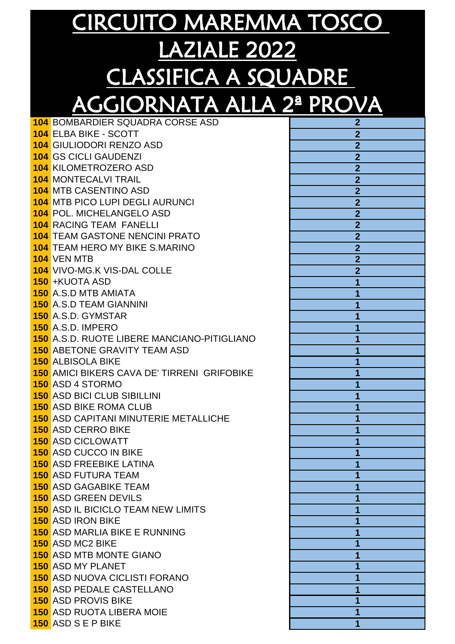| <b>104 BOMBARDIER SQUADRA CORSE ASD</b>                      |                         |
|--------------------------------------------------------------|-------------------------|
| <b>104 ELBA BIKE - SCOTT</b>                                 | 2                       |
| <b>104 GIULIODORI RENZO ASD</b>                              |                         |
| <b>104 GS CICLI GAUDENZI</b>                                 | $\overline{2}$          |
| <b>104 KILOMETROZERO ASD</b>                                 | $\overline{2}$          |
| <b>104 MONTECALVI TRAIL</b>                                  | $\overline{2}$          |
| <b>104 MTB CASENTINO ASD</b>                                 |                         |
| <b>104 MTB PICO LUPI DEGLI AURUNCI</b>                       | $\overline{\mathbf{c}}$ |
| <b>104 POL. MICHELANGELO ASD</b>                             | $\overline{2}$          |
| <b>104 RACING TEAM FANELLI</b>                               | $\overline{2}$          |
| <b>104 TEAM GASTONE NENCINI PRATO</b>                        | $\overline{2}$          |
| <b>104</b> TEAM HERO MY BIKE S.MARINO                        | $\overline{2}$          |
| <b>104 VEN MTB</b>                                           | $\overline{2}$          |
| <b>104 VIVO-MG.K VIS-DAL COLLE</b>                           | $\overline{2}$          |
| 150 + KUOTA ASD                                              |                         |
| <b>150</b> A.S.D MTB AMIATA                                  |                         |
| <b>150</b> A.S.D TEAM GIANNINI                               |                         |
| <b>150</b> A.S.D. GYMSTAR                                    |                         |
| <b>150</b> A.S.D. IMPERO                                     |                         |
| <b>150</b> A.S.D. RUOTE LIBERE MANCIANO-PITIGLIANO           |                         |
| <b>150 ABETONE GRAVITY TEAM ASD</b>                          |                         |
| <b>150 ALBISOLA BIKE</b>                                     |                         |
| <b>150</b> AMICI BIKERS CAVA DE' TIRRENI GRIFOBIKE           |                         |
| <b>150 ASD 4 STORMO</b>                                      |                         |
| <b>150 ASD BICI CLUB SIBILLINI</b>                           |                         |
| <b>150 ASD BIKE ROMA CLUB</b>                                |                         |
| <b>150</b> ASD CAPITANI MINUTERIE METALLICHE                 |                         |
| <b>150 ASD CERRO BIKE</b>                                    |                         |
| <b>150 ASD CICLOWATT</b>                                     |                         |
| <b>150 ASD CUCCO IN BIKE</b>                                 |                         |
| <b>150 ASD FREEBIKE LATINA</b><br><b>150 ASD FUTURA TEAM</b> | 1                       |
| <b>150 ASD GAGABIKE TEAM</b>                                 |                         |
| <b>150 ASD GREEN DEVILS</b>                                  |                         |
| <b>150</b> ASD IL BICICLO TEAM NEW LIMITS                    |                         |
| <b>150 ASD IRON BIKE</b>                                     |                         |
| <b>150</b> ASD MARLIA BIKE E RUNNING                         |                         |
| <b>150</b> ASD MC2 BIKE                                      |                         |
| <b>150 ASD MTB MONTE GIANO</b>                               |                         |
| <b>150 ASD MY PLANET</b>                                     |                         |
| <b>150 ASD NUOVA CICLISTI FORANO</b>                         |                         |
| <b>150 ASD PEDALE CASTELLANO</b>                             |                         |
| <b>150 ASD PROVIS BIKE</b>                                   |                         |
| <b>150 ASD RUOTA LIBERA MOIE</b>                             |                         |
| <b>150</b> ASD S E P BIKE                                    | 1                       |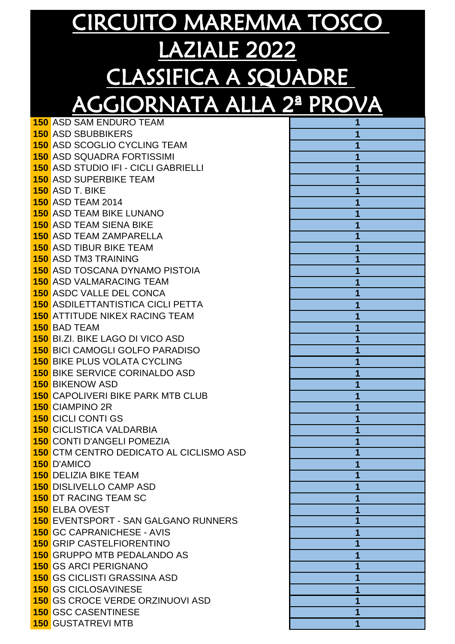ASD SAM ENDURO TEAM **1** ASD SBUBBIKERS **1** ASD SCOGLIO CYCLING TEAM **1** ASD SQUADRA FORTISSIMI **1** ASD STUDIO IFI - CICLI GABRIELLI **1** ASD SUPERBIKE TEAM **1** ASD T. BIKE ASD TEAM 2014 **1** ASD TEAM BIKE LUNANO **1** ASD TEAM SIENA BIKE **1** ASD TEAM ZAMPARELLA **1** ASD TIBUR BIKE TEAM **1** ASD TM3 TRAINING **1** ASD TOSCANA DYNAMO PISTOIA **1** ASD VALMARACING TEAM **1** ASDC VALLE DEL CONCA **1** ASDILETTANTISTICA CICLI PETTA **1** ATTITUDE NIKEX RACING TEAM **1** BAD TEAM **1** BI.ZI. BIKE LAGO DI VICO ASD **1** BICI CAMOGLI GOLFO PARADISO **1** BIKE PLUS VOLATA CYCLING **1** BIKE SERVICE CORINALDO ASD **1 150 BIKENOW ASD**  CAPOLIVERI BIKE PARK MTB CLUB **1** CIAMPINO 2R **1** CICLI CONTI GS **1** CICLISTICA VALDARBIA **1** CONTI D'ANGELI POMEZIA **1** CTM CENTRO DEDICATO AL CICLISMO ASD **1** D'AMICO DELIZIA BIKE TEAM **1** DISLIVELLO CAMP ASD **1 150 DT RACING TEAM SC**  ELBA OVEST EVENTSPORT - SAN GALGANO RUNNERS **1** GC CAPRANICHESE - AVIS **1** GRIP CASTELFIORENTINO **1** GRUPPO MTB PEDALANDO AS **1** GS ARCI PERIGNANO **1** GS CICLISTI GRASSINA ASD **1** GS CICLOSAVINESE GS CROCE VERDE ORZINUOVI ASD **1** GSC CASENTINESE GUSTATREVI MTB **1**

| $\overline{1}$          |
|-------------------------|
| 1                       |
| 1                       |
| $\overline{\mathbf{1}}$ |
|                         |
| $\overline{\mathbf{1}}$ |
| $\overline{\mathbf{1}}$ |
| $\overline{\mathbf{1}}$ |
| $\overline{\mathbf{1}}$ |
| 1                       |
| 1                       |
| $\overline{\mathbf{1}}$ |
| $\overline{\mathbf{1}}$ |
|                         |
| $\overline{\mathbf{1}}$ |
| 1                       |
| $\overline{\mathbf{1}}$ |
| $\overline{\mathbf{1}}$ |
| $\overline{\mathbf{1}}$ |
| $\overline{1}$          |
| $\overline{\mathbf{1}}$ |
| $\overline{\mathbf{1}}$ |
| $\overline{\mathbf{1}}$ |
|                         |
| $\overline{\mathbf{1}}$ |
| 1                       |
| 1                       |
| 1                       |
| 1                       |
| 1                       |
| $\overline{\mathbf{1}}$ |
| $\overline{1}$          |
| $\overline{\mathbf{1}}$ |
|                         |
| 1                       |
| $\overline{\mathbf{1}}$ |
| $\overline{\mathbf{1}}$ |
| $\overline{\mathbf{1}}$ |
| $\overline{\mathbf{1}}$ |
| $\overline{\mathbf{1}}$ |
| $\overline{\mathbf{1}}$ |
| $\overline{\mathbf{1}}$ |
| $\overline{\mathbf{1}}$ |
|                         |
| $\overline{\mathbf{1}}$ |
| $\overline{\mathbf{1}}$ |
| $\overline{\mathbf{1}}$ |
| $\overline{1}$          |
| $\overline{1}$          |
| $\overline{1}$          |
|                         |